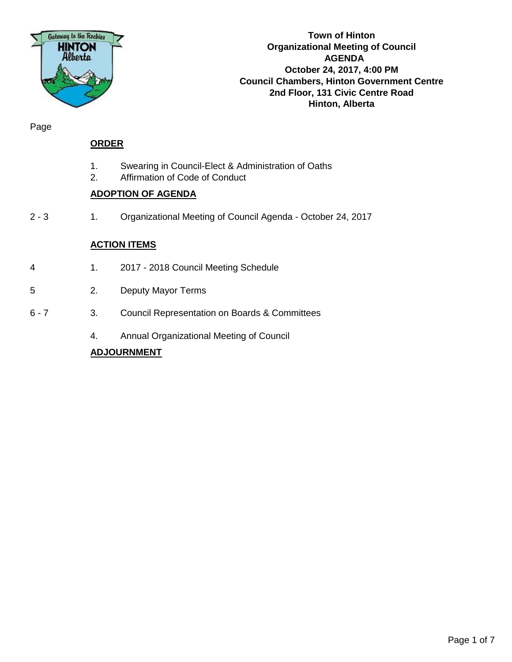

**Town of Hinton Organizational Meeting of Council AGENDA October 24, 2017, 4:00 PM Council Chambers, Hinton Government Centre 2nd Floor, 131 Civic Centre Road Hinton, Alberta**

Page

#### **ORDER**

- 1. Swearing in Council-Elect & Administration of Oaths
- 2. Affirmation of Code of Conduct

#### **ADOPTION OF AGENDA**

2 - 3 1. Organizational Meeting of Council Agenda - October 24, 2017

#### **ACTION ITEMS**

- 4 1. 2017 2018 Council Meeting Schedule
- 5 2. Deputy Mayor Terms
- 6 7 3. Council Representation on Boards & Committees
	- 4. Annual Organizational Meeting of Council

#### **ADJOURNMENT**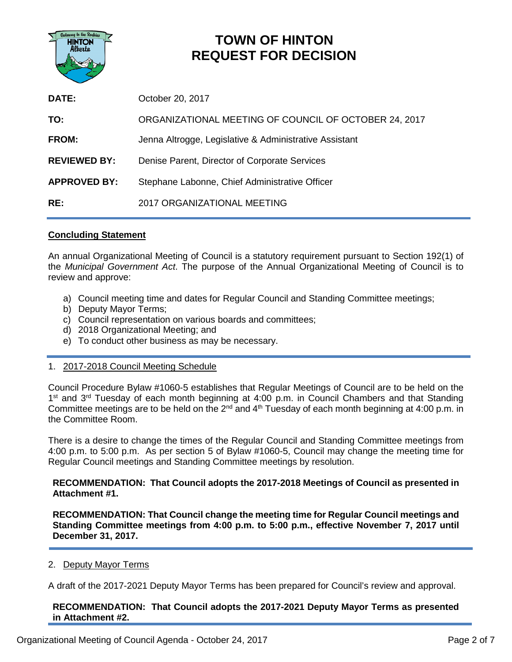

### **TOWN OF HINTON REQUEST FOR DECISION**

| DATE:               | October 20, 2017                                       |
|---------------------|--------------------------------------------------------|
| TO:                 | ORGANIZATIONAL MEETING OF COUNCIL OF OCTOBER 24, 2017  |
| FROM:               | Jenna Altrogge, Legislative & Administrative Assistant |
| <b>REVIEWED BY:</b> | Denise Parent, Director of Corporate Services          |
| <b>APPROVED BY:</b> | Stephane Labonne, Chief Administrative Officer         |
| RE:                 | 2017 ORGANIZATIONAL MEETING                            |

#### **Concluding Statement**

An annual Organizational Meeting of Council is a statutory requirement pursuant to Section 192(1) of the *Municipal Government Act*. The purpose of the Annual Organizational Meeting of Council is to review and approve:

- a) Council meeting time and dates for Regular Council and Standing Committee meetings;
- b) Deputy Mayor Terms;
- c) Council representation on various boards and committees;
- d) 2018 Organizational Meeting; and
- e) To conduct other business as may be necessary.

#### 1. 2017-2018 Council Meeting Schedule

Council Procedure Bylaw #1060-5 establishes that Regular Meetings of Council are to be held on the  $1<sup>st</sup>$  and  $3<sup>rd</sup>$  Tuesday of each month beginning at 4:00 p.m. in Council Chambers and that Standing Committee meetings are to be held on the 2<sup>nd</sup> and 4<sup>th</sup> Tuesday of each month beginning at 4:00 p.m. in the Committee Room.

There is a desire to change the times of the Regular Council and Standing Committee meetings from 4:00 p.m. to 5:00 p.m. As per section 5 of Bylaw #1060-5, Council may change the meeting time for Regular Council meetings and Standing Committee meetings by resolution.

**RECOMMENDATION: That Council adopts the 2017-2018 Meetings of Council as presented in Attachment #1.** 

**RECOMMENDATION: That Council change the meeting time for Regular Council meetings and Standing Committee meetings from 4:00 p.m. to 5:00 p.m., effective November 7, 2017 until December 31, 2017.** 

#### 2. Deputy Mayor Terms

A draft of the 2017-2021 Deputy Mayor Terms has been prepared for Council's review and approval.

**RECOMMENDATION: That Council adopts the 2017-2021 Deputy Mayor Terms as presented in Attachment #2.**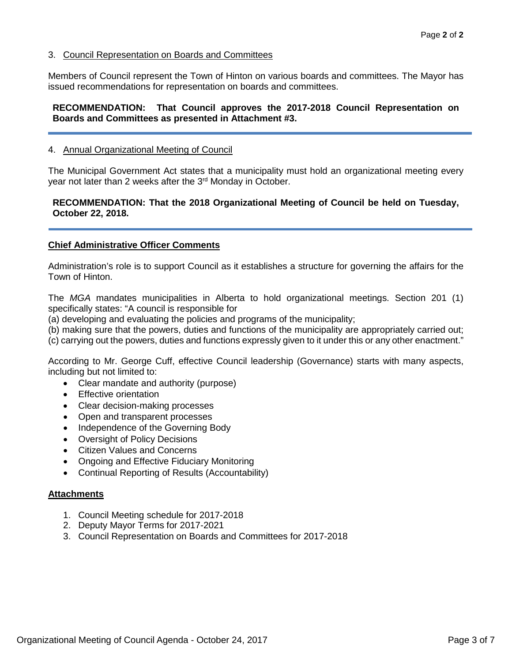#### 3. Council Representation on Boards and Committees

Members of Council represent the Town of Hinton on various boards and committees. The Mayor has issued recommendations for representation on boards and committees.

#### **RECOMMENDATION: That Council approves the 2017-2018 Council Representation on Boards and Committees as presented in Attachment #3.**

#### 4. Annual Organizational Meeting of Council

The Municipal Government Act states that a municipality must hold an organizational meeting every year not later than 2 weeks after the 3<sup>rd</sup> Monday in October.

#### **RECOMMENDATION: That the 2018 Organizational Meeting of Council be held on Tuesday, October 22, 2018.**

#### **Chief Administrative Officer Comments**

Administration's role is to support Council as it establishes a structure for governing the affairs for the Town of Hinton.

The *MGA* mandates municipalities in Alberta to hold organizational meetings. Section 201 (1) specifically states: "A council is responsible for

(a) developing and evaluating the policies and programs of the municipality;

(b) making sure that the powers, duties and functions of the municipality are appropriately carried out;

(c) carrying out the powers, duties and functions expressly given to it under this or any other enactment."

According to Mr. George Cuff, effective Council leadership (Governance) starts with many aspects, including but not limited to:

- Clear mandate and authority (purpose)
- Effective orientation
- Clear decision-making processes
- Open and transparent processes
- Independence of the Governing Body
- Oversight of Policy Decisions
- Citizen Values and Concerns
- Ongoing and Effective Fiduciary Monitoring
- Continual Reporting of Results (Accountability)

#### **Attachments**

- 1. Council Meeting schedule for 2017-2018
- 2. Deputy Mayor Terms for 2017-2021
- 3. Council Representation on Boards and Committees for 2017-2018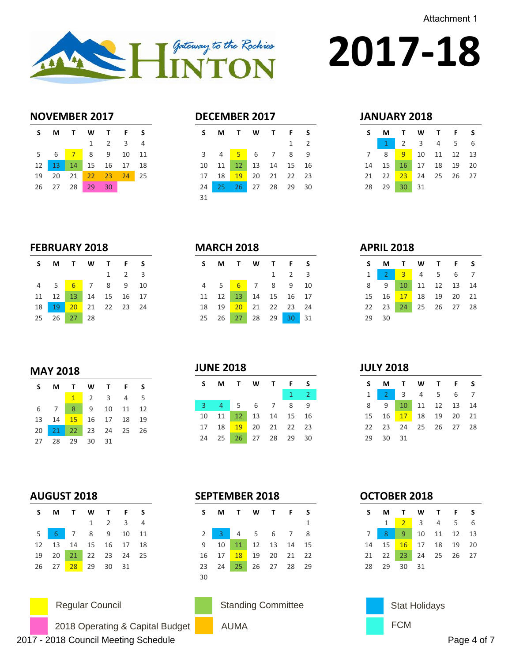Attachment 1



# **2017-18**

#### **NOVEMBER 2017**

| S. | MTWTFS                           |                             |  |
|----|----------------------------------|-----------------------------|--|
|    |                                  | $1 \quad 2 \quad 3 \quad 4$ |  |
|    | 5  6 <mark>7</mark> 8  9  10  11 |                             |  |
|    | 12   13   14   15   16   17   18 |                             |  |
|    | 19 20 21 22 23 24 25             |                             |  |
|    | 26 27 28 29 30                   |                             |  |

#### **DECEMBER 2017**

| S  |  | M T W T F S                |              |                |
|----|--|----------------------------|--------------|----------------|
|    |  |                            | $\mathbf{1}$ | $\overline{2}$ |
|    |  | 3 4 <mark>5</mark> 6 7 8 9 |              |                |
|    |  | 10 11 12 13 14 15 16       |              |                |
|    |  | 17 18 19 20 21 22 23       |              |                |
| 24 |  | 25 26 27 28 29 30          |              |                |
| 31 |  |                            |              |                |

#### **JANUARY 2018**

|  |             | SMTWTFS                    |  |
|--|-------------|----------------------------|--|
|  |             | $1 \t2 \t3 \t4 \t5 \t6$    |  |
|  |             | 7 8 9 10 11 12 13          |  |
|  |             | 14  15  16  17  18  19  20 |  |
|  |             | 21 22 23 24 25 26 27       |  |
|  | 28 29 30 31 |                            |  |

#### **FEBRUARY 2018**

|  | SMTWTFS                                |  |                     |  |
|--|----------------------------------------|--|---------------------|--|
|  |                                        |  | $1 \quad 2 \quad 3$ |  |
|  | 4 5 6 7 8 9 10                         |  |                     |  |
|  | 11 12 13 14 15 16 17                   |  |                     |  |
|  | 18    19    20    21    22    23    24 |  |                     |  |
|  | 25 26 27 28                            |  |                     |  |

#### **MARCH 2018**

| S. |  | M T W T F S                |                     |  |
|----|--|----------------------------|---------------------|--|
|    |  |                            | $1 \quad 2 \quad 3$ |  |
|    |  | 4 5 6 7 8 9 10             |                     |  |
| 11 |  | 12 13 14 15 16 17          |                     |  |
|    |  | 18  19  20  21  22  23  24 |                     |  |
| 25 |  | 26 27 28 29 30 31          |                     |  |

#### **APRIL 2018**

**JULY 2018**

| S.    |                      | MTWTFS           |  |  |
|-------|----------------------|------------------|--|--|
|       | 1 2 3 4 5 6 7        |                  |  |  |
| 8     |                      | 9 10 11 12 13 14 |  |  |
|       | 15 16 17 18 19 20 21 |                  |  |  |
|       | 22 23 24 25 26 27 28 |                  |  |  |
| 29 30 |                      |                  |  |  |

#### **MAY 2018**

|  | S M T W T F S        |  |  |
|--|----------------------|--|--|
|  | $1$ 2 3 4 5          |  |  |
|  | 6 7 8 9 10 11 12     |  |  |
|  | 13 14 15 16 17 18 19 |  |  |
|  | 20 21 22 23 24 25 26 |  |  |
|  | 27 28 29 30 31       |  |  |

#### **JUNE 2018**

| S.             | м   |       | TWTF           |       | S                          |
|----------------|-----|-------|----------------|-------|----------------------------|
|                |     |       |                | $1 -$ | $\overline{\phantom{0}}$ 2 |
| 3 <sup>o</sup> | 447 |       | 5 6 7          | 8     | $\mathsf{q}$               |
| 10             | 11  |       | 12 13 14 15 16 |       |                            |
| 17             | 18  | $-19$ | 20 21 22 23    |       |                            |
| 24             | 25  |       | 26 27 28 29    |       | 30                         |

### **AUGUST 2018**

|  | SMTWTFS                    |                             |  |
|--|----------------------------|-----------------------------|--|
|  |                            | $1 \quad 2 \quad 3 \quad 4$ |  |
|  | 5 6 7 8 9 10 11            |                             |  |
|  | 12  13  14  15  16  17  18 |                             |  |
|  | 19 20 21 22 23 24 25       |                             |  |
|  | 26 27 28 29 30 31          |                             |  |



2018 Operating & Capital Budget 2017 - 2018 Council Meeting Schedule Page 4 of 7

|    | S M T W T F S        |  |              |
|----|----------------------|--|--------------|
|    |                      |  | $\mathbf{1}$ |
|    | 2 3 4 5 6 7 8        |  |              |
|    | 9 10 11 12 13 14 15  |  |              |
|    | 16 17 18 19 20 21 22 |  |              |
|    | 23 24 25 26 27 28 29 |  |              |
| 30 |                      |  |              |

# AUMA **FCM**

| S M T W T F S        |  |  |  |
|----------------------|--|--|--|
| 1 2 3 4 5 6 7        |  |  |  |
| 8 9 10 11 12 13 14   |  |  |  |
| 15 16 17 18 19 20 21 |  |  |  |
| 22 23 24 25 26 27 28 |  |  |  |
| 29 30 31             |  |  |  |

#### **OCTOBER 2018**

| S M T W T F S              |  |             |  |
|----------------------------|--|-------------|--|
|                            |  | 1 2 3 4 5 6 |  |
| 7 8 9 10 11 12 13          |  |             |  |
| 14  15  16  17  18  19  20 |  |             |  |
| 21 22 23 24 25 26 27       |  |             |  |
| 28 29 30 31                |  |             |  |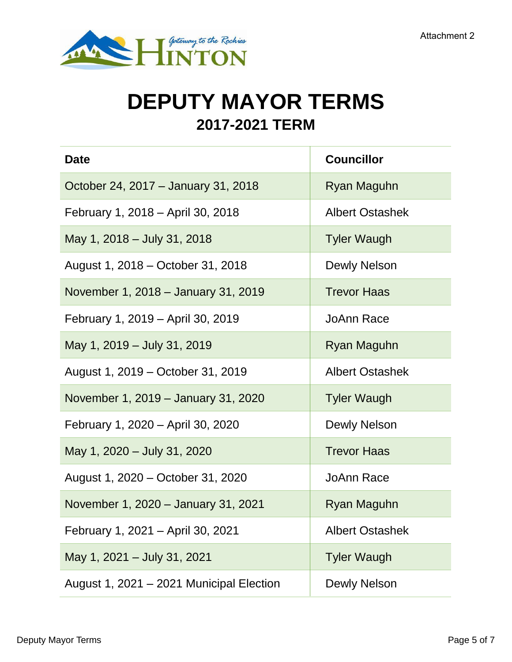

## **DEPUTY MAYOR TERMS 2017-2021 TERM**

| <b>Date</b>                              | <b>Councillor</b>      |
|------------------------------------------|------------------------|
| October 24, 2017 – January 31, 2018      | Ryan Maguhn            |
| February 1, 2018 – April 30, 2018        | <b>Albert Ostashek</b> |
| May 1, 2018 - July 31, 2018              | <b>Tyler Waugh</b>     |
| August 1, 2018 – October 31, 2018        | Dewly Nelson           |
| November 1, 2018 – January 31, 2019      | <b>Trevor Haas</b>     |
| February 1, 2019 – April 30, 2019        | JoAnn Race             |
| May 1, 2019 - July 31, 2019              | Ryan Maguhn            |
| August 1, 2019 – October 31, 2019        | <b>Albert Ostashek</b> |
| November 1, 2019 – January 31, 2020      | <b>Tyler Waugh</b>     |
| February 1, 2020 – April 30, 2020        | Dewly Nelson           |
| May 1, 2020 - July 31, 2020              | <b>Trevor Haas</b>     |
| August 1, 2020 – October 31, 2020        | <b>JoAnn Race</b>      |
| November 1, 2020 - January 31, 2021      | Ryan Maguhn            |
| February 1, 2021 - April 30, 2021        | <b>Albert Ostashek</b> |
| May 1, 2021 - July 31, 2021              | <b>Tyler Waugh</b>     |
| August 1, 2021 - 2021 Municipal Election | <b>Dewly Nelson</b>    |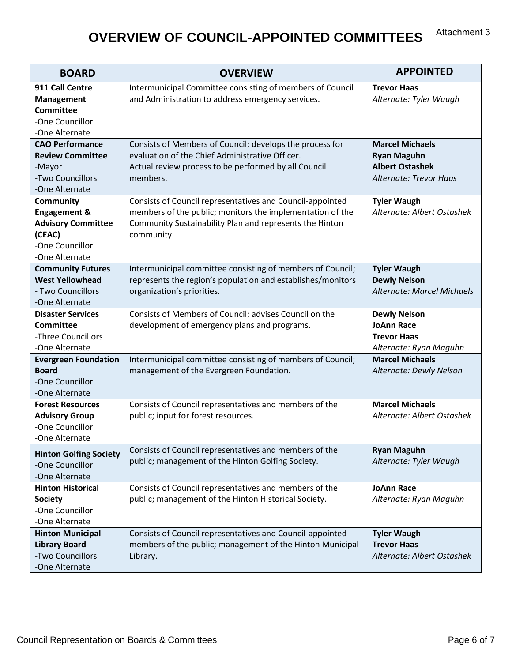#### **OVERVIEW OF COUNCIL-APPOINTED COMMITTEES** Attachment 3

| <b>BOARD</b>                                                                                                     | <b>OVERVIEW</b>                                                                                                                                                                                 | <b>APPOINTED</b>                                                                                 |  |
|------------------------------------------------------------------------------------------------------------------|-------------------------------------------------------------------------------------------------------------------------------------------------------------------------------------------------|--------------------------------------------------------------------------------------------------|--|
| 911 Call Centre<br><b>Management</b><br><b>Committee</b><br>-One Councillor<br>-One Alternate                    | Intermunicipal Committee consisting of members of Council<br>and Administration to address emergency services.                                                                                  | <b>Trevor Haas</b><br>Alternate: Tyler Waugh                                                     |  |
| <b>CAO Performance</b><br><b>Review Committee</b><br>-Mayor<br>-Two Councillors<br>-One Alternate                | Consists of Members of Council; develops the process for<br>evaluation of the Chief Administrative Officer.<br>Actual review process to be performed by all Council<br>members.                 | <b>Marcel Michaels</b><br><b>Ryan Maguhn</b><br><b>Albert Ostashek</b><br>Alternate: Trevor Haas |  |
| Community<br><b>Engagement &amp;</b><br><b>Advisory Committee</b><br>(CEAC)<br>-One Councillor<br>-One Alternate | Consists of Council representatives and Council-appointed<br>members of the public; monitors the implementation of the<br>Community Sustainability Plan and represents the Hinton<br>community. | <b>Tyler Waugh</b><br>Alternate: Albert Ostashek                                                 |  |
| <b>Community Futures</b><br><b>West Yellowhead</b><br>- Two Councillors<br>-One Alternate                        | Intermunicipal committee consisting of members of Council;<br>represents the region's population and establishes/monitors<br>organization's priorities.                                         | <b>Tyler Waugh</b><br><b>Dewly Nelson</b><br>Alternate: Marcel Michaels                          |  |
| <b>Disaster Services</b><br><b>Committee</b><br>-Three Councillors<br>-One Alternate                             | Consists of Members of Council; advises Council on the<br>development of emergency plans and programs.                                                                                          | <b>Dewly Nelson</b><br><b>JoAnn Race</b><br><b>Trevor Haas</b><br>Alternate: Ryan Maguhn         |  |
| <b>Evergreen Foundation</b><br><b>Board</b><br>-One Councillor<br>-One Alternate                                 | Intermunicipal committee consisting of members of Council;<br>management of the Evergreen Foundation.                                                                                           | <b>Marcel Michaels</b><br>Alternate: Dewly Nelson                                                |  |
| <b>Forest Resources</b><br><b>Advisory Group</b><br>-One Councillor<br>-One Alternate                            | Consists of Council representatives and members of the<br>public; input for forest resources.                                                                                                   | <b>Marcel Michaels</b><br>Alternate: Albert Ostashek                                             |  |
| <b>Hinton Golfing Society</b><br>-One Councillor<br>-One Alternate                                               | Consists of Council representatives and members of the<br>public; management of the Hinton Golfing Society.                                                                                     | <b>Ryan Maguhn</b><br>Alternate: Tyler Waugh                                                     |  |
| <b>Hinton Historical</b><br><b>Society</b><br>-One Councillor<br>-One Alternate                                  | Consists of Council representatives and members of the<br>public; management of the Hinton Historical Society.                                                                                  | <b>JoAnn Race</b><br>Alternate: Ryan Maguhn                                                      |  |
| <b>Hinton Municipal</b><br><b>Library Board</b><br>-Two Councillors<br>-One Alternate                            | Consists of Council representatives and Council-appointed<br>members of the public; management of the Hinton Municipal<br>Library.                                                              | <b>Tyler Waugh</b><br><b>Trevor Haas</b><br>Alternate: Albert Ostashek                           |  |